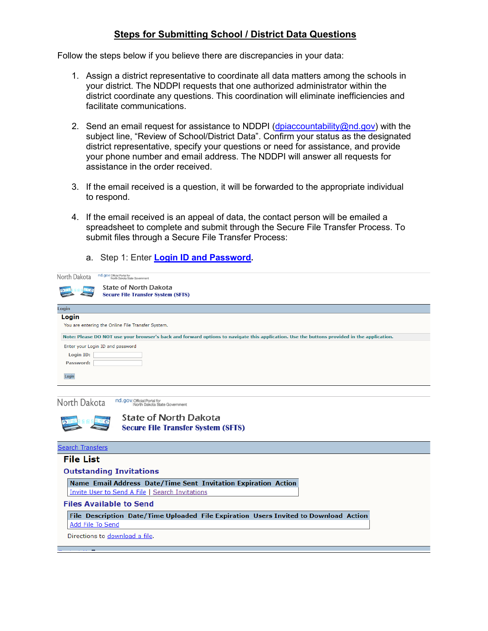## **Steps for Submitting School / District Data Questions**

Follow the steps below if you believe there are discrepancies in your data:

- 1. Assign a district representative to coordinate all data matters among the schools in your district. The NDDPI requests that one authorized administrator within the district coordinate any questions. This coordination will eliminate inefficiencies and facilitate communications.
- 2. Send an email request for assistance to NDDPI (dpiaccountability  $@nd.gov$ ) with the subject line, "Review of School/District Data". Confirm your status as the designated district representative, specify your questions or need for assistance, and provide your phone number and email address. The NDDPI will answer all requests for assistance in the order received.
- 3. If the email received is a question, it will be forwarded to the appropriate individual to respond.
- 4. If the email received is an appeal of data, the contact person will be emailed a spreadsheet to complete and submit through the Secure File Transfer Process. To submit files through a Secure File Transfer Process:
	- a. Step 1: Enter **[Login ID and Password.](https://intranetapps.nd.gov/itd/filetransfer/login.htm)**

| nd.gov Official Portal for<br>North Dakota<br>North Dakota State Government                                                                |
|--------------------------------------------------------------------------------------------------------------------------------------------|
| <b>State of North Dakota</b>                                                                                                               |
| <b>Secure File Transfer System (SFTS)</b>                                                                                                  |
| Login                                                                                                                                      |
| Login                                                                                                                                      |
| You are entering the Online File Transfer System.                                                                                          |
| Note: Please DO NOT use your browser's back and forward options to navigate this application. Use the buttons provided in the application. |
| Enter your Login ID and password                                                                                                           |
| Login ID:                                                                                                                                  |
| Password:                                                                                                                                  |
| Login                                                                                                                                      |
| nd.gov Official Portal for<br>North Dakota<br>North Dakota State Government                                                                |
| <b>State of North Dakota</b><br><b>Secure File Transfer System (SFTS)</b>                                                                  |
| <b>Search Transfers</b>                                                                                                                    |
| <b>File List</b>                                                                                                                           |
| <b>Outstanding Invitations</b>                                                                                                             |
| Name Email Address Date/Time Sent Invitation Expiration Action                                                                             |
| Invite User to Send A File   Search Invitations                                                                                            |
| <b>Files Available to Send</b>                                                                                                             |
| File Description Date/Time Uploaded File Expiration Users Invited to Download Action                                                       |
| Add File To Send                                                                                                                           |
| Directions to download a file.                                                                                                             |